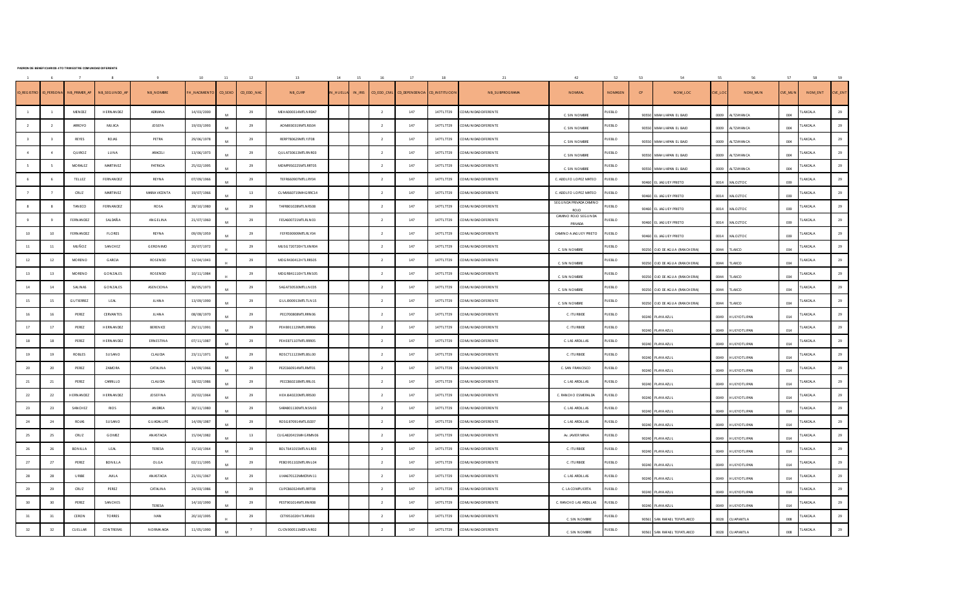|  | PADRON DE BENEFICIARIOS 4TO TRIM ESTRE COM UNIDAD DIFERENTE |
|--|-------------------------------------------------------------|
|  |                                                             |

|                        |                          |                  |                   |                    | 10           |         | 12         | 13                                        |                |                     |                          |                  | 18             |                        | 42                                       | 52             | 53    | 54                             |        | 56                  | 57      | 58              | 59      |
|------------------------|--------------------------|------------------|-------------------|--------------------|--------------|---------|------------|-------------------------------------------|----------------|---------------------|--------------------------|------------------|----------------|------------------------|------------------------------------------|----------------|-------|--------------------------------|--------|---------------------|---------|-----------------|---------|
| <b>D REGISTRO</b>      | <b>ID PERSON.</b>        | NB_PRIMER_AP     | NB_SEGUNDO_AP     | NB_NOMBRE          | H_NACIMIENTO | CD_SEXO | CD_EDO_NAC | $\ensuremath{\mathsf{NB\_C}\mathsf{URP}}$ | <b>I HUELL</b> | $\textsf{IN\_IRIS}$ | CD_EDO_CIVIL             | CD_DEPEN DEN CIA | CD_INSTITUCION | NB_SUBPROGRAMA         | <b>NOMMAL</b>                            | <b>NOMASEN</b> | CP    | NOM_LOC                        | VE_LOC | NOM_MUN             | CVE_MUN | NOM_ENT         | CVE_ENT |
|                        | $\overline{1}$           | MEN DEZ          | H ERN AN DEZ      | ADRIAN A           | 14/03/2000   | M       | 29         | MEH A000314MTLN RDA7                      |                |                     | $\overline{\mathbf{2}}$  | 147              | 147TL7729      | CO MUNIDAD DIFERENTE   | C. SIN NOMBRE                            | PUEBLO         |       | 90550 MIAH U APAN EL BAJO      | 0009   | ALTZAYAN CA         | 004     | TLAXCALA        | 29      |
| $\overline{2}$         | <sup>2</sup>             | ARROYO           | <b>MUJICA</b>     | <b>JOSEFA</b>      | 19/03/1993   |         | 29         | AO MJ930319MTLRJS04                       |                |                     | $\overline{2}$           | 147              | 147TL7729      | CO MUNIDAD DIFERENTE   | C. SIN NOMBRE                            | UEBLO          |       | 90550 MIAH U APAN EL BAJO      | 0009   | ALTZAYAN CA         | 004     | LAXCALA         | 29      |
|                        |                          | REYES            | <b>ROJAS</b>      | PETRA              | 29/06/1978   |         | 29         | RERP780629MTLYJT08                        |                |                     | $\overline{2}$           | 147              | 147TL7729      | CO MUNIDAD DIFERENTE   | C. SIN NOMBRE                            | PUEBLO         |       | 90550 MIAH U APAN EL BAJO      | 0009   | ALTZAYAN CA         | 004     | LAXCALA         | 29      |
| $\overline{4}$         | $\overline{4}$           | QUIROZ           | LUNA              | ARACELI            | 13/06/1973   | M       | 29         | QULA730613MTLRNR03                        |                |                     | $\overline{\mathbf{2}}$  | 147              | 147TL7729      | CO MU N IDAD DIFERENTE | C. SIN NOMBRE                            | PUEBLO         |       | 90550 MIAH U APAN EL BAJO      | 0009   | ALTZAYAN CA         | 004     | <b>LAXCALA</b>  | 29      |
| -5                     | $\overline{\phantom{0}}$ | <b>MORALEZ</b>   | MARTIN EZ         | PATRICIA           | 25/02/1995   | M       | 29         | MOMP950225MTLRRT05                        |                |                     | $\overline{2}$           | 147              | 147TL7729      | CO MUNIDAD DIFERENTE   | C. SIN NOMBRE                            | UEBLO          |       | 90550 MIAH U APAN EL BAJO      | 0009   | ALTZAYAN CA         | 004     | LAXCALA         | 29      |
|                        |                          | TELLEZ           | FERN AN DEZ       | <b>REYNA</b>       | 07/09/1966   | M       | 29         | TEFR660907MTLLRY04                        |                |                     | $\overline{2}$           | 147              | 147TL7729      | CO MU N IDAD DIFERENTE | C. ADOLFO LOPEZ MATEO                    | PUEBLO         |       | 90460 EL JAG U EY PRIETO       | 0014   | XALOZTOC            | 039     | LAXCALA         | 29      |
|                        | $\overline{7}$           | CRU Z            | MARTIN EZ         | MARIA VICENTA      | 19/07/1966   | M       | 13         | CU MV660719MH G RRC14                     |                |                     | $\overline{\phantom{a}}$ | 147              | 147TL7729      | CO MUNIDAD DIFERENTE   | C. ADOLFO LOPEZ MATEO                    | PUEBLO         |       | 90460 EL JAGUEY PRIETO         | 0014   | XALOZTOC            | 039     | LAXCALA         | 29      |
| $\mathbf{\mathcal{R}}$ | $\mathbf{R}$             | TAN ECO          | FFRN AN DF7       | ROSA               | 28/10/1980   |         | 29         | TAFR801028MTLNRS08                        |                |                     | $\overline{2}$           | 147              | 147TL7729      | CO MUNIDAD DIFERENTE   | SEG U N DA PRIVADA CAMINO<br><b>ROID</b> | U EBLO         |       | 90460 EL JAG U EY PRIETO       | 0014   | XALOZTOC            | 039     | LAXCALA         | 29      |
|                        |                          | FERN AN DEZ      | SALDAÑ A          | ANGELINA           | 21/07/1960   | M       | 29         | FESA600721MTLRLN03                        |                |                     | $\overline{2}$           | 147              | 147TL7729      | CO MU N IDAD DIFERENTE | CAMINO ROJO SEGUNDA<br>PRIVADA           | UEBLO          |       | 90460 EL JAG U EY PRIETO       | 0014   | XALOZTOC            | 039     | LAXCALA         | 29      |
| 10                     | 10                       | FERN AN DEZ      | <b>FLORES</b>     | <b>REYNA</b>       | 09/09/1959   | M       | 29         | FEFR590909MTLRLY04                        |                |                     | $\overline{2}$           | 147              | 147TL7729      | CO MUNIDAD DIFERENTE   | CAMINO A JAG U EY PRIETO                 | UEBLO          | 90460 | EL JAG U EY PRIETO             | 0014   | XALOZTOC            | 039     | LAXCALA         | 29      |
| 11                     | 11                       | MUÑOZ            | SAN CHEZ          | <b>GERONIMO</b>    | 20/07/1972   |         | 29         | MUSG 720720H TLXN R04                     |                |                     | $\overline{2}$           | 147              | 147TL7729      | CO MUNIDAD DIFERENTE   | C. SIN NOMBRE                            | PUEBLO         |       | 90250 OJO DE AGUA (RAN CHERIA) | 0044   | TLAXCO              | 034     | <b>LAXCALA</b>  | 29      |
| 12                     | 12                       | <b>MORENO</b>    | <b>G ARCIA</b>    | ROSENDO            | 12/04/1943   |         | 29         | MOG R430412H TLRRS05                      |                |                     | $\overline{2}$           | 147              | 147TL7729      | CO MUNIDAD DIFERENTE   | C. SIN NOMBRE                            | PUEBLO         |       | 90250 OJO DE AGUA (RANCHERIA)  | 0044   | TLAXCO              | 034     | <b>TLAXCALA</b> | 29      |
| 13                     | 13                       | <b>MORENO</b>    | GONZALES          | RO SEN DO          | 10/11/1984   |         | 29         | MOGR841110HTLRNS05                        |                |                     | $\overline{2}$           | 147              | 147TL7729      | CO MUNIDAD DIFERENTE   | C. SIN NOMBRE                            | UEBLO          |       | 90250 OJO DE AGUA (RANCHERIA)  | 0044   | <b>LAXCO</b>        | 034     | LAXCALA         | 29      |
| $14\,$                 | 14                       | <b>SALINAS</b>   | GONZALES          | <b>ASEN CIONA</b>  | 30/05/1973   | M       | 29         | SAG A730530MTLLN C05                      |                |                     | $\overline{2}$           | 147              | 147TL7729      | CO MUNIDAD DIFERENTE   | C. SIN NOMBRE                            | PUEBLO         |       | 90250 OJO DE AGUA (RANCHERIA)  | 0044   | TLAXCO              | 034     | <b>TLAXCALA</b> | 29      |
| 15                     | 15                       | <b>GUTIERREZ</b> | LEAL              | <b>JU AN A</b>     | 13/09/1990   |         | 29         | GULJ900913MTLTLN15                        |                |                     | $\overline{\mathbf{2}}$  | 147              | 147TL7729      | CO MUNIDAD DIFERENTE   | C. SIN NOMBRE                            | PUEBLO         |       | 90250 OJO DE AGUA (RANCHERIA)  | 0044   | TLAXCO              | 034     | TLAXCALA        | 29      |
| 16                     | 16                       | PEREZ            | <b>CERVAN TES</b> | <b>JU AN A</b>     | 08/08/1970   | M       | 29         | PECJ700808MTLRRN06                        |                |                     | $\overline{2}$           | 147              | 147TL7729      | CO MUNIDAD DIFERENTE   | C. ITU RBIDE                             | PUEBLO         |       | 90240 PLAYA AZUL               | 0049   | <b>HU EYOTLIPAN</b> | 014     | LAXCALA         | 29      |
| 17                     | 17                       | PEREZ            | H ERN AN DEZ      | <b>BERENICE</b>    | 29/11/1991   | M       | 29         | PEH B911129MTLRRR06                       |                |                     | $\overline{2}$           | 147              | 147TL7729      | CO MUNIDAD DIFERENTE   | C. ITU RBIDE                             | PUEBLO         |       | 90240 PLAYA AZUL               | 0049   | <b>HUEYOTLIPAN</b>  | 014     | <b>LAXCALA</b>  | 29      |
| 18                     | 18                       | PEREZ            | H ERN AN DEZ      | <b>ERNESTINA</b>   | 07/11/1987   | M       | 29         | PEH E871107MTLRRR05                       |                |                     | $\overline{\phantom{a}}$ | 147              | 147TL7729      | CO MUNIDAD DIFERENTE   | C. LAS ARDILLAS                          | PU EBLO        |       | 90240 PLAYA AZUL               | 0049   | <b>HUFYOTI IPAN</b> | 014     | LAXCALA         | 29      |
| 19                     | 19                       | <b>ROBLES</b>    | SUSANO            | <b>CLAU DIA</b>    | 23/11/1971   |         | 29         | ROSC711123MTLBSL00                        |                |                     | $\overline{2}$           | 147              | 147TL7729      | CO MUNIDAD DIFERENTE   | C. ITU RBIDE                             | UEBLO          |       | 90240 PLAYA AZUL               | 0049   | <b>HUEYOTLIPAN</b>  | 014     | LAXCALA         | 29      |
| 20                     | 20                       | PEREZ            | ZAMO RA           | <b>CATALINA</b>    | 14/09/1966   |         | 29         | PEZC660914MTLRMT01                        |                |                     | $\overline{2}$           | 147              | 147TL7729      | CO MUNIDAD DIFERENTE   | C. SAN FRAN CISCO                        | PU EBLO        |       | 90240 PLAYA AZU L              | 0049   | <b>HUEYOTLIPAN</b>  | 014     | LAXCALA         | 29      |
| 21                     | 21                       | PEREZ            | CARRILLO          | CLAU DIA           | 18/02/1986   | M       | 29         | PECC860218MTLRRL01                        |                |                     | $\overline{\mathbf{2}}$  | 147              | 147TL7729      | CO MU N IDAD DIFERENTE | C. LAS ARDILLAS                          | PU EBLO        |       | 90240 PLAYA AZU L              | 0049   | <b>HUEYOTLIPAN</b>  | 014     | <b>LAXCALA</b>  | 29      |
| 22                     | 22                       | H ERN AN DEZ     | H ERN AN DEZ      | <b>JOSEFINA</b>    | 20/02/1964   | M       | 29         | HEHJ640220MTLRRS00                        |                |                     | $\overline{2}$           | 147              | 147TL7729      | CO MUNIDAD DIFERENTE   | C. RAN CHO ESMERALDA                     | PUEBLO         |       | 90240 PLAYA AZUL               | 0049   | <b>HUEYOTLIPAN</b>  | 014     | LAXCALA         | 29      |
| 23                     | 23                       | SAN CHEZ         | <b>RIOS</b>       | AN DREA            | 30/11/1980   | M       | 29         | SARA801130MTLNSN03                        |                |                     | $\overline{2}$           | 147              | 147TL7729      | CO MUNIDAD DIFERENTE   | C. LAS ARDILLAS                          | PU EBLO        |       | 90240 PLAYA AZUL               | 0049   | <b>HUEYOTLIPAN</b>  | 014     | <b>TLAXCALA</b> | 29      |
| 24                     | 24                       | <b>ROJAS</b>     | SUSANO            | <b>GU ADALU PE</b> | 14/09/1987   | M       | 29         | ROSG 870914MTLJSD07                       |                |                     | $\overline{2}$           | 147              | 147TL7729      | CO MUNIDAD DIFERENTE   | C. LAS ARDILLAS                          | PU EBLO        |       | 90240 PLAYA AZU L              | 0049   | <b>HU EYOTLIPAN</b> | 014     | LAXCALA         | 29      |
| 25                     | 25                       | CRU Z            | GOMEZ             | AN ASTACIA         | 15/04/1982   | M       | 13         | CU G A820415MH G RMN 06                   |                |                     | $\overline{2}$           | 147              | 147TL7729      | CO MUNIDAD DIFERENTE   | Av. JAVIER MINA                          | PUEBLO         |       | 90240 PLAYA AZU L              | 0049   | <b>HUEYOTLIPAN</b>  | 014     | <b>LAXCALA</b>  | 29      |
| $26\,$                 | 26                       | BONILLA          | <b>LEAL</b>       | TERESA             | 15/10/1964   |         | 29         | BOLT641015MTLNLR03                        |                |                     | $\overline{2}$           | 147              | 147TL7729      | CO MUNIDAD DIFERENTE   | C. ITU RBIDE                             | PUEBLO         |       | 90240 PLAYA AZUL               | 0049   | <b>HUEYOTLIPAN</b>  | 014     | TLAXCALA        | 29      |
| 27                     | 27                       | PEREZ            | <b>BONILLA</b>    | OLGA               | 02/11/1995   | M       | 29         | PEBO951102MTLRNL04                        |                |                     | $\overline{2}$           | 147              | 147TL7729      | CO MUNIDAD DIFERENTE   | C. ITU RBIDE                             | PUEBLO         |       | 90240 PLAYA AZU L              | 0049   | <b>HUEYOTLIPAN</b>  | 014     | <b>LAXCALA</b>  | 29      |
| 28                     | 28                       | $\cup$ RIBE      | AVILA             | AN ASTACIA         | 21/01/1967   | M       | 29         | U1A4670122MMCRVN 11                       |                |                     | $\overline{2}$           | 147              | 147TL7729      | CO MU N IDAD DIFERENTE | C. LAS ARDILLAS                          | PU EBLO        |       | 90240 PLAYA AZU L              | 0049   | <b>HUEYOTLIPAN</b>  | 014     | LAXCALA         | 29      |
| 29                     | 29                       | CRU Z            | PEREZ             | CATALINA           | 24/03/1986   |         | 29         | CU PC860324MTL RRT08                      |                |                     | $\overline{\mathbf{2}}$  | 147              | 147TL7729      | CO MUNIDAD DIFERENTE   | C. LA COMPUERTA                          | PUEBLO         |       | 90240 PLAYA AZUI               | 0049   | <b>HUEYOTLIPAN</b>  | 014     | <b>TLAXCALA</b> | 29      |
| 30                     | 30 <sub>o</sub>          | PEREZ            | SAN CHES          | TERESA             | 14/10/1990   |         | 29         | PEST901014MTLRNR08                        |                |                     | $\overline{2}$           | 147              | 147TL7729      | CO MUNIDAD DIFERENTE   | C. RAN CHO LAS ARDILLAS                  | PU EBLO        |       | 90240 PLAYA AZUL               | 0049   | <b>HUEYOTLIPAN</b>  | 014     | LAXCALA         | 29      |
| 31                     | 31                       | CERON            | <b>TO RRES</b>    | <b>IVAN</b>        | 20/10/1995   |         | 29         | CETI951020HTLRRV03                        |                |                     | $\overline{2}$           | 147              | 147TL7729      | O MUNIDAD DIFERENTE    | C. SIN NOMBRE                            | UEBLO          |       | 90561 SAN RAFAEL TEPATLAXCO    | 0028   | CU APIAXTLA         | 008     | LAXCALA         | 29      |
| 32                     | 32                       | <b>CU ELLAR</b>  | CON TRERAS        | N ORMA AIDA        | 11/05/1990   | M       | 7          | CU CN 900511MDFLN R02                     |                |                     | $\overline{2}$           | 147              | 147TL7729      | CO MUNIDAD DIFERENTE   | C. SIN NOMBRE                            | <b>PUEBLO</b>  |       | 90561 SAN RAFAEL TEPATLAXCO    | 0028   | <b>CU APIAXTLA</b>  | 008     | LAXCALA         | 29      |